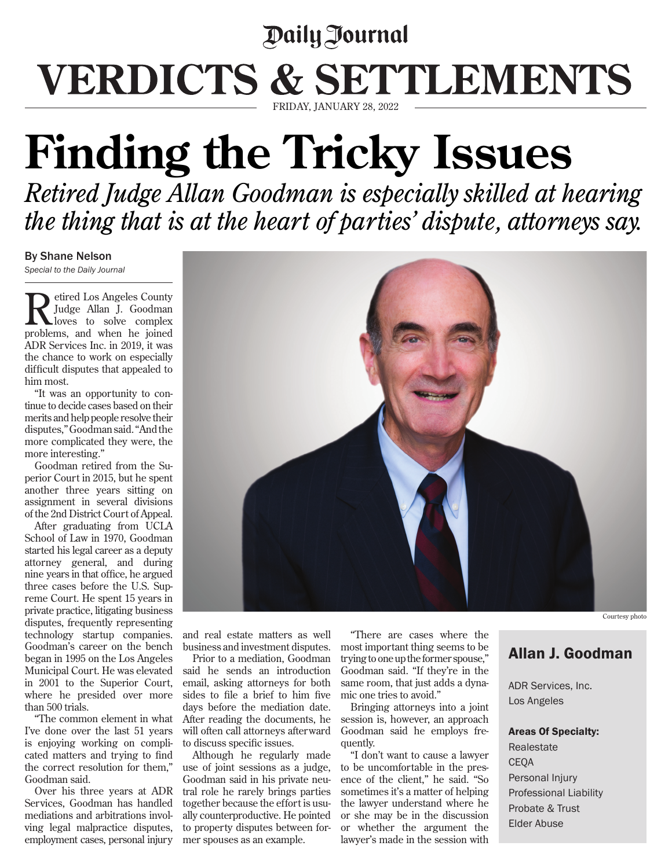## Daily Journal VERDICTS & SETTLEMENTS FRIDAY, JANUARY 28, 2022

## **Finding the Tricky Issues**

*Retired Judge Allan Goodman is especially skilled at hearing the thing that is at the heart of parties' dispute, attorneys say.*

## By Shane Nelson

*Special to the Daily Journal*

Retired Los Angeles County<br>
Judge Allan J. Goodman<br>
necklopes and when he issued Judge Allan J. Goodman problems, and when he joined ADR Services Inc. in 2019, it was the chance to work on especially difficult disputes that appealed to him most.

"It was an opportunity to continue to decide cases based on their merits and help people resolve their disputes," Goodman said. "And the more complicated they were, the more interesting."

Goodman retired from the Superior Court in 2015, but he spent another three years sitting on assignment in several divisions of the 2nd District Court of Appeal.

After graduating from UCLA School of Law in 1970, Goodman started his legal career as a deputy attorney general, and during nine years in that office, he argued three cases before the U.S. Supreme Court. He spent 15 years in private practice, litigating business disputes, frequently representing technology startup companies. Goodman's career on the bench began in 1995 on the Los Angeles Municipal Court. He was elevated in 2001 to the Superior Court, where he presided over more than 500 trials.

"The common element in what I've done over the last 51 years is enjoying working on complicated matters and trying to find the correct resolution for them," Goodman said.

Over his three years at ADR Services, Goodman has handled mediations and arbitrations involving legal malpractice disputes, employment cases, personal injury

and real estate matters as well business and investment disputes.

Prior to a mediation, Goodman said he sends an introduction email, asking attorneys for both sides to file a brief to him five days before the mediation date. After reading the documents, he will often call attorneys afterward to discuss specific issues.

Although he regularly made use of joint sessions as a judge, Goodman said in his private neutral role he rarely brings parties together because the effort is usually counterproductive. He pointed to property disputes between former spouses as an example.

"There are cases where the most important thing seems to be trying to one up the former spouse," Goodman said. "If they're in the same room, that just adds a dynamic one tries to avoid."

Bringing attorneys into a joint session is, however, an approach Goodman said he employs frequently.

"I don't want to cause a lawyer to be uncomfortable in the presence of the client," he said. "So sometimes it's a matter of helping the lawyer understand where he or she may be in the discussion or whether the argument the lawyer's made in the session with

## Allan J. Goodman

ADR Services, Inc. Los Angeles

Areas Of Specialty: Realestate CEQA Personal Injury Professional Liability Probate & Trust Elder Abuse